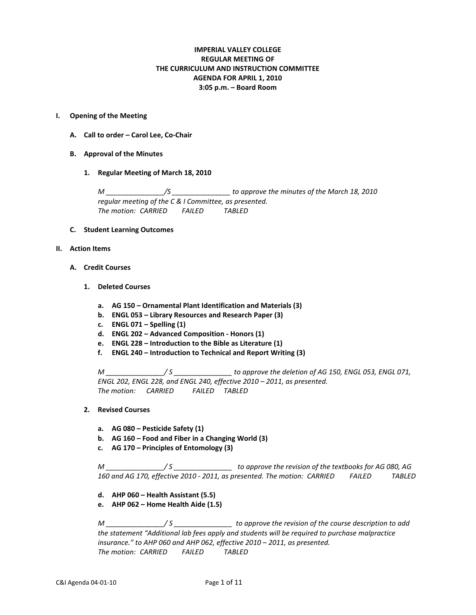# **IMPERIAL VALLEY COLLEGE REGULAR MEETING OF THE CURRICULUM AND INSTRUCTION COMMITTEE AGENDA FOR APRIL 1, 2010 3:05 p.m. – Board Room**

## **I. Opening of the Meeting**

- **A. Call to order – Carol Lee, Co-Chair**
- **B. Approval of the Minutes**
	- **1. Regular Meeting of March 18, 2010**

*M \_\_\_\_\_\_\_\_\_\_\_\_\_\_\_/S \_\_\_\_\_\_\_\_\_\_\_\_\_\_\_ to approve the minutes of the March 18, 2010 regular meeting of the C & I Committee, as presented. The motion: CARRIED FAILED TABLED*

# **C. Student Learning Outcomes**

- **II. Action Items**
	- **A. Credit Courses**
		- **1. Deleted Courses**
			- **a. AG 150 – Ornamental Plant Identification and Materials (3)**
			- **b. ENGL 053 – Library Resources and Research Paper (3)**
			- **c. ENGL 071 – Spelling (1)**
			- **d. ENGL 202 – Advanced Composition - Honors (1)**
			- **e. ENGL 228 – Introduction to the Bible as Literature (1)**
			- **f. ENGL 240 – Introduction to Technical and Report Writing (3)**

*M \_\_\_\_\_\_\_\_\_\_\_\_\_\_\_/ S \_\_\_\_\_\_\_\_\_\_\_\_\_\_\_ to approve the deletion of AG 150, ENGL 053, ENGL 071, ENGL 202, ENGL 228, and ENGL 240, effective 2010 – 2011, as presented. The motion: CARRIED FAILED TABLED*

- **2. Revised Courses**
	- **a. AG 080 – Pesticide Safety (1)**
	- **b. AG 160 – Food and Fiber in a Changing World (3)**
	- **c. AG 170 – Principles of Entomology (3)**

*M \_\_\_\_\_\_\_\_\_\_\_\_\_\_\_/ S \_\_\_\_\_\_\_\_\_\_\_\_\_\_\_ to approve the revision of the textbooks for AG 080, AG 160 and AG 170, effective 2010 - 2011, as presented. The motion: CARRIED FAILED TABLED*

- **d. AHP 060 – Health Assistant (5.5)**
- **e. AHP 062 – Home Health Aide (1.5)**

*M \_\_\_\_\_\_\_\_\_\_\_\_\_\_\_/ S \_\_\_\_\_\_\_\_\_\_\_\_\_\_\_ to approve the revision of the course description to add the statement "Additional lab fees apply and students will be required to purchase malpractice insurance." to AHP 060 and AHP 062, effective 2010 – 2011, as presented. The motion: CARRIED FAILED TABLED*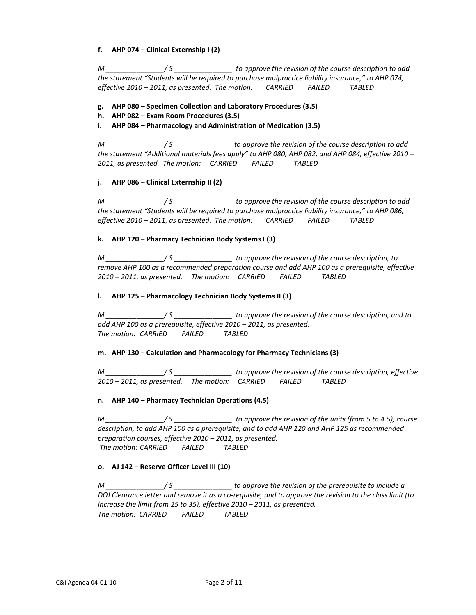# **f. AHP 074 – Clinical Externship I (2)**

*M \_\_\_\_\_\_\_\_\_\_\_\_\_\_\_/ S \_\_\_\_\_\_\_\_\_\_\_\_\_\_\_ to approve the revision of the course description to add the statement "Students will be required to purchase malpractice liability insurance," to AHP 074, effective 2010 – 2011, as presented. The motion: CARRIED FAILED TABLED*

# **g. AHP 080 – Specimen Collection and Laboratory Procedures (3.5)**

- **h. AHP 082 – Exam Room Procedures (3.5)**
- **i. AHP 084 – Pharmacology and Administration of Medication (3.5)**

*M \_\_\_\_\_\_\_\_\_\_\_\_\_\_\_/ S \_\_\_\_\_\_\_\_\_\_\_\_\_\_\_ to approve the revision of the course description to add the statement "Additional materials fees apply" to AHP 080, AHP 082, and AHP 084, effective 2010 – 2011, as presented. The motion: CARRIED FAILED TABLED*

# **j. AHP 086 – Clinical Externship II (2)**

*M \_\_\_\_\_\_\_\_\_\_\_\_\_\_\_/ S \_\_\_\_\_\_\_\_\_\_\_\_\_\_\_ to approve the revision of the course description to add the statement "Students will be required to purchase malpractice liability insurance," to AHP 086, effective 2010 – 2011, as presented. The motion: CARRIED FAILED TABLED*

## **k. AHP 120 – Pharmacy Technician Body Systems I (3)**

*M \_\_\_\_\_\_\_\_\_\_\_\_\_\_\_/ S \_\_\_\_\_\_\_\_\_\_\_\_\_\_\_ to approve the revision of the course description, to remove AHP 100 as a recommended preparation course and add AHP 100 as a prerequisite, effective 2010 – 2011, as presented. The motion: CARRIED FAILED TABLED*

## **l. AHP 125 – Pharmacology Technician Body Systems II (3)**

*M \_\_\_\_\_\_\_\_\_\_\_\_\_\_\_/ S \_\_\_\_\_\_\_\_\_\_\_\_\_\_\_ to approve the revision of the course description, and to add AHP 100 as a prerequisite, effective 2010 – 2011, as presented. The motion: CARRIED FAILED TABLED*

## **m. AHP 130 – Calculation and Pharmacology for Pharmacy Technicians (3)**

*M \_\_\_\_\_\_\_\_\_\_\_\_\_\_\_/ S \_\_\_\_\_\_\_\_\_\_\_\_\_\_\_ to approve the revision of the course description, effective 2010 – 2011, as presented. The motion: CARRIED FAILED TABLED*

## **n. AHP 140 – Pharmacy Technician Operations (4.5)**

*M \_\_\_\_\_\_\_\_\_\_\_\_\_\_\_/ S \_\_\_\_\_\_\_\_\_\_\_\_\_\_\_ to approve the revision of the units (from 5 to 4.5), course description, to add AHP 100 as a prerequisite, and to add AHP 120 and AHP 125 as recommended preparation courses, effective 2010 – 2011, as presented. The motion: CARRIED FAILED TABLED*

## **o. AJ 142 – Reserve Officer Level III (10)**

*M \_\_\_\_\_\_\_\_\_\_\_\_\_\_\_/ S \_\_\_\_\_\_\_\_\_\_\_\_\_\_\_ to approve the revision of the prerequisite to include a DOJ Clearance letter and remove it as a co-requisite, and to approve the revision to the class limit (to increase the limit from 25 to 35), effective 2010 – 2011, as presented. The motion: CARRIED FAILED TABLED*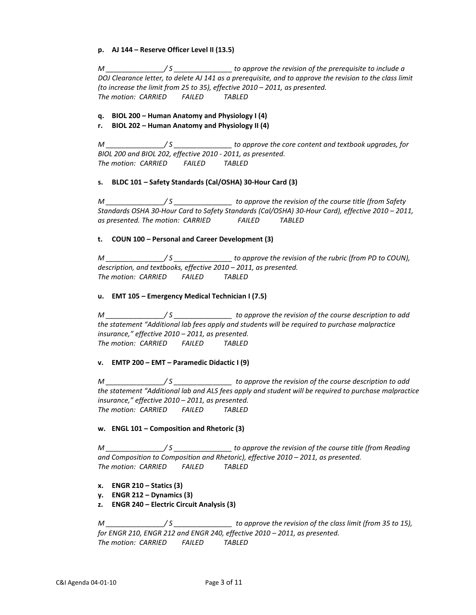**p. AJ 144 – Reserve Officer Level II (13.5)**

*M \_\_\_\_\_\_\_\_\_\_\_\_\_\_\_/ S \_\_\_\_\_\_\_\_\_\_\_\_\_\_\_ to approve the revision of the prerequisite to include a DOJ Clearance letter, to delete AJ 141 as a prerequisite, and to approve the revision to the class limit (to increase the limit from 25 to 35), effective 2010 – 2011, as presented. The motion: CARRIED FAILED TABLED*

# **q. BIOL 200 – Human Anatomy and Physiology I (4)**

# **r. BIOL 202 – Human Anatomy and Physiology II (4)**

*M \_\_\_\_\_\_\_\_\_\_\_\_\_\_\_/ S \_\_\_\_\_\_\_\_\_\_\_\_\_\_\_ to approve the core content and textbook upgrades, for BIOL 200 and BIOL 202, effective 2010 - 2011, as presented. The motion: CARRIED FAILED TABLED*

# **s. BLDC 101 – Safety Standards (Cal/OSHA) 30-Hour Card (3)**

*M \_\_\_\_\_\_\_\_\_\_\_\_\_\_\_/ S \_\_\_\_\_\_\_\_\_\_\_\_\_\_\_ to approve the revision of the course title (from Safety Standards OSHA 30-Hour Card to Safety Standards (Cal/OSHA) 30-Hour Card), effective 2010 – 2011, as presented. The motion: CARRIED FAILED TABLED*

# **t. COUN 100 – Personal and Career Development (3)**

*M \_\_\_\_\_\_\_\_\_\_\_\_\_\_\_/ S \_\_\_\_\_\_\_\_\_\_\_\_\_\_\_ to approve the revision of the rubric (from PD to COUN), description, and textbooks, effective 2010 – 2011, as presented. The motion: CARRIED FAILED TABLED*

# **u. EMT 105 – Emergency Medical Technician I (7.5)**

*M \_\_\_\_\_\_\_\_\_\_\_\_\_\_\_/ S \_\_\_\_\_\_\_\_\_\_\_\_\_\_\_ to approve the revision of the course description to add the statement "Additional lab fees apply and students will be required to purchase malpractice insurance," effective 2010 – 2011, as presented. The motion: CARRIED FAILED TABLED*

## **v. EMTP 200 – EMT – Paramedic Didactic I (9)**

*M \_\_\_\_\_\_\_\_\_\_\_\_\_\_\_/ S \_\_\_\_\_\_\_\_\_\_\_\_\_\_\_ to approve the revision of the course description to add the statement "Additional lab and ALS fees apply and student will be required to purchase malpractice insurance," effective 2010 – 2011, as presented. The motion: CARRIED FAILED TABLED*

# **w. ENGL 101 – Composition and Rhetoric (3)**

*M \_\_\_\_\_\_\_\_\_\_\_\_\_\_\_/ S \_\_\_\_\_\_\_\_\_\_\_\_\_\_\_ to approve the revision of the course title (from Reading and Composition to Composition and Rhetoric), effective 2010 – 2011, as presented. The motion: CARRIED FAILED TABLED*

- **x. ENGR 210 – Statics (3)**
- **y. ENGR 212 – Dynamics (3)**
- **z. ENGR 240 – Electric Circuit Analysis (3)**

*M \_\_\_\_\_\_\_\_\_\_\_\_\_\_\_/ S \_\_\_\_\_\_\_\_\_\_\_\_\_\_\_ to approve the revision of the class limit (from 35 to 15), for ENGR 210, ENGR 212 and ENGR 240, effective 2010 – 2011, as presented. The motion: CARRIED FAILED TABLED*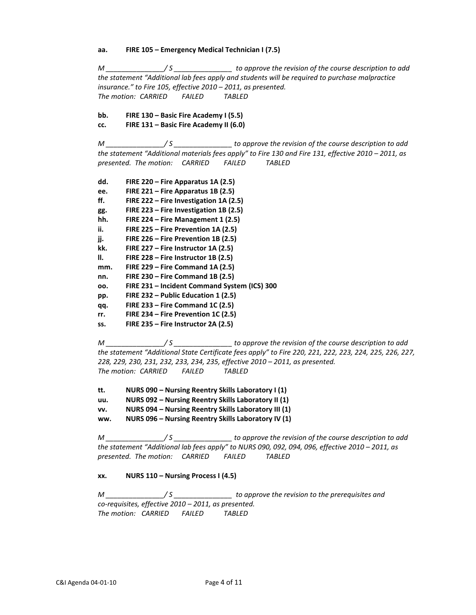**aa. FIRE 105 – Emergency Medical Technician I (7.5)**

*M \_\_\_\_\_\_\_\_\_\_\_\_\_\_\_/ S \_\_\_\_\_\_\_\_\_\_\_\_\_\_\_ to approve the revision of the course description to add the statement "Additional lab fees apply and students will be required to purchase malpractice insurance." to Fire 105, effective 2010 – 2011, as presented. The motion: CARRIED FAILED TABLED*

**bb. FIRE 130 – Basic Fire Academy I (5.5) cc. FIRE 131 – Basic Fire Academy II (6.0)**

*M \_\_\_\_\_\_\_\_\_\_\_\_\_\_\_/ S \_\_\_\_\_\_\_\_\_\_\_\_\_\_\_ to approve the revision of the course description to add* 

*the statement "Additional materials fees apply" to Fire 130 and Fire 131, effective 2010 – 2011, as presented. The motion: CARRIED FAILED TABLED*

- **dd. FIRE 220 – Fire Apparatus 1A (2.5)**
- **ee. FIRE 221 – Fire Apparatus 1B (2.5)**
- **ff. FIRE 222 – Fire Investigation 1A (2.5)**
- **gg. FIRE 223 – Fire Investigation 1B (2.5)**
- **hh. FIRE 224 – Fire Management 1 (2.5)**
- **ii. FIRE 225 – Fire Prevention 1A (2.5)**
- **jj. FIRE 226 – Fire Prevention 1B (2.5)**
- **kk. FIRE 227 – Fire Instructor 1A (2.5)**
- **ll. FIRE 228 – Fire Instructor 1B (2.5)**
- **mm. FIRE 229 – Fire Command 1A (2.5)**
- **nn. FIRE 230 – Fire Command 1B (2.5)**
- **oo. FIRE 231 – Incident Command System (ICS) 300**
- **pp. FIRE 232 – Public Education 1 (2.5)**
- **qq. FIRE 233 – Fire Command 1C (2.5)**
- **rr. FIRE 234 – Fire Prevention 1C (2.5)**
- **ss. FIRE 235 – Fire Instructor 2A (2.5)**

*M \_\_\_\_\_\_\_\_\_\_\_\_\_\_\_/ S \_\_\_\_\_\_\_\_\_\_\_\_\_\_\_ to approve the revision of the course description to add the statement "Additional State Certificate fees apply" to Fire 220, 221, 222, 223, 224, 225, 226, 227, 228, 229, 230, 231, 232, 233, 234, 235, effective 2010 – 2011, as presented. The motion: CARRIED FAILED TABLED*

- **tt. NURS 090 – Nursing Reentry Skills Laboratory I (1)**
- **uu. NURS 092 – Nursing Reentry Skills Laboratory II (1)**
- **vv. NURS 094 – Nursing Reentry Skills Laboratory III (1)**

**ww. NURS 096 – Nursing Reentry Skills Laboratory IV (1)**

*M \_\_\_\_\_\_\_\_\_\_\_\_\_\_\_/ S \_\_\_\_\_\_\_\_\_\_\_\_\_\_\_ to approve the revision of the course description to add the statement "Additional lab fees apply" to NURS 090, 092, 094, 096, effective 2010 – 2011, as presented. The motion: CARRIED FAILED TABLED*

# **xx. NURS 110 – Nursing Process I (4.5)**

*M \_\_\_\_\_\_\_\_\_\_\_\_\_\_\_/ S \_\_\_\_\_\_\_\_\_\_\_\_\_\_\_ to approve the revision to the prerequisites and co-requisites, effective 2010 – 2011, as presented. The motion: CARRIED FAILED TABLED*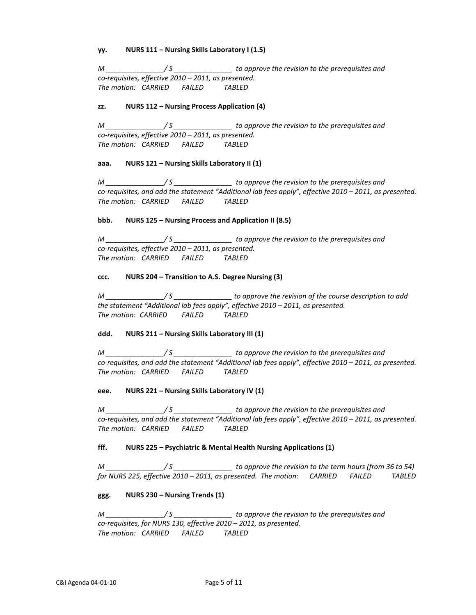## **yy. NURS 111 – Nursing Skills Laboratory I (1.5)**

*M \_\_\_\_\_\_\_\_\_\_\_\_\_\_\_/ S \_\_\_\_\_\_\_\_\_\_\_\_\_\_\_ to approve the revision to the prerequisites and co-requisites, effective 2010 – 2011, as presented. The motion: CARRIED FAILED TABLED*

## **zz. NURS 112 – Nursing Process Application (4)**

*M \_\_\_\_\_\_\_\_\_\_\_\_\_\_\_/ S \_\_\_\_\_\_\_\_\_\_\_\_\_\_\_ to approve the revision to the prerequisites and co-requisites, effective 2010 – 2011, as presented. The motion: CARRIED FAILED TABLED*

# **aaa. NURS 121 – Nursing Skills Laboratory II (1)**

*M \_\_\_\_\_\_\_\_\_\_\_\_\_\_\_/ S \_\_\_\_\_\_\_\_\_\_\_\_\_\_\_ to approve the revision to the prerequisites and co-requisites, and add the statement "Additional lab fees apply", effective 2010 – 2011, as presented. The motion: CARRIED FAILED TABLED*

# **bbb. NURS 125 – Nursing Process and Application II (8.5)**

*M \_\_\_\_\_\_\_\_\_\_\_\_\_\_\_/ S \_\_\_\_\_\_\_\_\_\_\_\_\_\_\_ to approve the revision to the prerequisites and co-requisites, effective 2010 – 2011, as presented. The motion: CARRIED FAILED TABLED*

# **ccc. NURS 204 – Transition to A.S. Degree Nursing (3)**

*M \_\_\_\_\_\_\_\_\_\_\_\_\_\_\_/ S \_\_\_\_\_\_\_\_\_\_\_\_\_\_\_ to approve the revision of the course description to add the statement "Additional lab fees apply", effective 2010 – 2011, as presented. The motion: CARRIED FAILED TABLED*

# **ddd. NURS 211 – Nursing Skills Laboratory III (1)**

*M \_\_\_\_\_\_\_\_\_\_\_\_\_\_\_/ S \_\_\_\_\_\_\_\_\_\_\_\_\_\_\_ to approve the revision to the prerequisites and co-requisites, and add the statement "Additional lab fees apply", effective 2010 – 2011, as presented. The motion: CARRIED FAILED TABLED*

## **eee. NURS 221 – Nursing Skills Laboratory IV (1)**

*M \_\_\_\_\_\_\_\_\_\_\_\_\_\_\_/ S \_\_\_\_\_\_\_\_\_\_\_\_\_\_\_ to approve the revision to the prerequisites and co-requisites, and add the statement "Additional lab fees apply", effective 2010 – 2011, as presented. The motion: CARRIED FAILED TABLED*

# **fff. NURS 225 – Psychiatric & Mental Health Nursing Applications (1)**

*M \_\_\_\_\_\_\_\_\_\_\_\_\_\_\_/ S \_\_\_\_\_\_\_\_\_\_\_\_\_\_\_ to approve the revision to the term hours (from 36 to 54) for NURS 225, effective 2010 – 2011, as presented. The motion: CARRIED FAILED TABLED*

## **ggg. NURS 230 – Nursing Trends (1)**

*M \_\_\_\_\_\_\_\_\_\_\_\_\_\_\_/ S \_\_\_\_\_\_\_\_\_\_\_\_\_\_\_ to approve the revision to the prerequisites and co-requisites, for NURS 130, effective 2010 – 2011, as presented. The motion: CARRIED FAILED TABLED*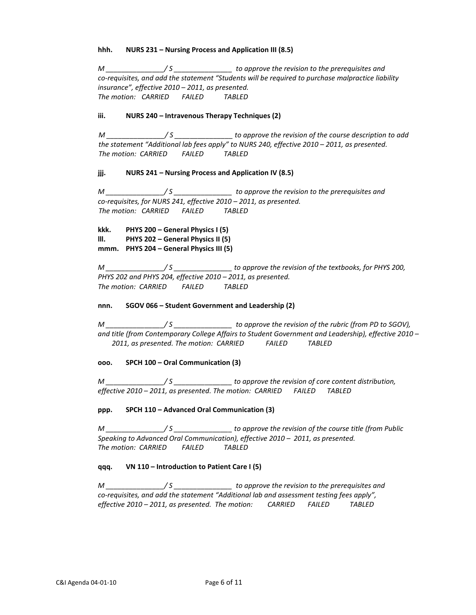## **hhh. NURS 231 – Nursing Process and Application III (8.5)**

*M \_\_\_\_\_\_\_\_\_\_\_\_\_\_\_/ S \_\_\_\_\_\_\_\_\_\_\_\_\_\_\_ to approve the revision to the prerequisites and co-requisites, and add the statement "Students will be required to purchase malpractice liability insurance", effective 2010 – 2011, as presented. The motion: CARRIED FAILED TABLED*

# **iii. NURS 240 – Intravenous Therapy Techniques (2)**

*M \_\_\_\_\_\_\_\_\_\_\_\_\_\_\_/ S \_\_\_\_\_\_\_\_\_\_\_\_\_\_\_ to approve the revision of the course description to add the statement "Additional lab fees apply" to NURS 240, effective 2010 – 2011, as presented. The motion: CARRIED FAILED TABLED*

# **jjj. NURS 241 – Nursing Process and Application IV (8.5)**

*M \_\_\_\_\_\_\_\_\_\_\_\_\_\_\_/ S \_\_\_\_\_\_\_\_\_\_\_\_\_\_\_ to approve the revision to the prerequisites and co-requisites, for NURS 241, effective 2010 – 2011, as presented. The motion: CARRIED FAILED TABLED*

**kkk. PHYS 200 – General Physics I (5) lll. PHYS 202 – General Physics II (5) mmm. PHYS 204 – General Physics III (5)**

*M \_\_\_\_\_\_\_\_\_\_\_\_\_\_\_/ S \_\_\_\_\_\_\_\_\_\_\_\_\_\_\_ to approve the revision of the textbooks, for PHYS 200, PHYS 202 and PHYS 204, effective 2010 – 2011, as presented. The motion: CARRIED FAILED TABLED*

## **nnn. SGOV 066 – Student Government and Leadership (2)**

*M \_\_\_\_\_\_\_\_\_\_\_\_\_\_\_/ S \_\_\_\_\_\_\_\_\_\_\_\_\_\_\_ to approve the revision of the rubric (from PD to SGOV), and title (from Contemporary College Affairs to Student Government and Leadership), effective 2010 – 2011, as presented. The motion: CARRIED FAILED TABLED*

## **ooo. SPCH 100 – Oral Communication (3)**

*M \_\_\_\_\_\_\_\_\_\_\_\_\_\_\_/ S \_\_\_\_\_\_\_\_\_\_\_\_\_\_\_ to approve the revision of core content distribution, effective 2010 – 2011, as presented. The motion: CARRIED FAILED TABLED*

## **ppp. SPCH 110 – Advanced Oral Communication (3)**

*M \_\_\_\_\_\_\_\_\_\_\_\_\_\_\_/ S \_\_\_\_\_\_\_\_\_\_\_\_\_\_\_ to approve the revision of the course title (from Public Speaking to Advanced Oral Communication), effective 2010 – 2011, as presented. The motion: CARRIED FAILED TABLED*

## **qqq. VN 110 – Introduction to Patient Care I (5)**

*M \_\_\_\_\_\_\_\_\_\_\_\_\_\_\_/ S \_\_\_\_\_\_\_\_\_\_\_\_\_\_\_ to approve the revision to the prerequisites and co-requisites, and add the statement "Additional lab and assessment testing fees apply", effective 2010 – 2011, as presented. The motion: CARRIED FAILED TABLED*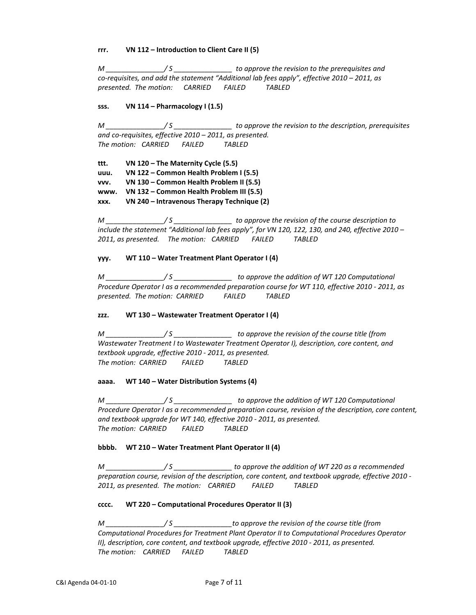## **rrr. VN 112 – Introduction to Client Care II (5)**

*M \_\_\_\_\_\_\_\_\_\_\_\_\_\_\_/ S \_\_\_\_\_\_\_\_\_\_\_\_\_\_\_ to approve the revision to the prerequisites and co-requisites, and add the statement "Additional lab fees apply", effective 2010 – 2011, as presented. The motion: CARRIED FAILED TABLED*

## **sss. VN 114 – Pharmacology I (1.5)**

*M \_\_\_\_\_\_\_\_\_\_\_\_\_\_\_/ S \_\_\_\_\_\_\_\_\_\_\_\_\_\_\_ to approve the revision to the description, prerequisites and co-requisites, effective 2010 – 2011, as presented. The motion: CARRIED FAILED TABLED*

**ttt. VN 120 – The Maternity Cycle (5.5) uuu. VN 122 – Common Health Problem I (5.5) vvv. VN 130 – Common Health Problem II (5.5) www. VN 132 – Common Health Problem III (5.5) xxx. VN 240 – Intravenous Therapy Technique (2)**

*M \_\_\_\_\_\_\_\_\_\_\_\_\_\_\_/ S \_\_\_\_\_\_\_\_\_\_\_\_\_\_\_ to approve the revision of the course description to include the statement "Additional lab fees apply", for VN 120, 122, 130, and 240, effective 2010 – 2011, as presented. The motion: CARRIED FAILED TABLED*

# **yyy. WT 110 – Water Treatment Plant Operator I (4)**

*M \_\_\_\_\_\_\_\_\_\_\_\_\_\_\_/ S \_\_\_\_\_\_\_\_\_\_\_\_\_\_\_ to approve the addition of WT 120 Computational Procedure Operator I as a recommended preparation course for WT 110, effective 2010 - 2011, as presented. The motion: CARRIED FAILED TABLED*

## **zzz. WT 130 – Wastewater Treatment Operator I (4)**

*M \_\_\_\_\_\_\_\_\_\_\_\_\_\_\_/ S \_\_\_\_\_\_\_\_\_\_\_\_\_\_\_ to approve the revision of the course title (from Wastewater Treatment I to Wastewater Treatment Operator I), description, core content, and textbook upgrade, effective 2010 - 2011, as presented. The motion: CARRIED FAILED TABLED*

## **aaaa. WT 140 – Water Distribution Systems (4)**

*M \_\_\_\_\_\_\_\_\_\_\_\_\_\_\_/ S \_\_\_\_\_\_\_\_\_\_\_\_\_\_\_ to approve the addition of WT 120 Computational Procedure Operator I as a recommended preparation course, revision of the description, core content, and textbook upgrade for WT 140, effective 2010 - 2011, as presented. The motion: CARRIED FAILED TABLED*

# **bbbb. WT 210 – Water Treatment Plant Operator II (4)**

*M \_\_\_\_\_\_\_\_\_\_\_\_\_\_\_/ S \_\_\_\_\_\_\_\_\_\_\_\_\_\_\_ to approve the addition of WT 220 as a recommended preparation course, revision of the description, core content, and textbook upgrade, effective 2010 - 2011, as presented. The motion: CARRIED FAILED TABLED*

# **cccc. WT 220 – Computational Procedures Operator II (3)**

*M \_\_\_\_\_\_\_\_\_\_\_\_\_\_\_/ S \_\_\_\_\_\_\_\_\_\_\_\_\_\_\_to approve the revision of the course title (from Computational Procedures for Treatment Plant Operator II to Computational Procedures Operator II), description, core content, and textbook upgrade, effective 2010 - 2011, as presented. The motion: CARRIED FAILED TABLED*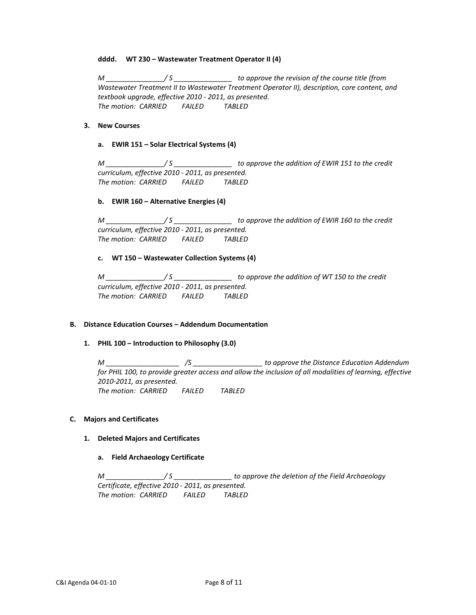## **dddd. WT 230 – Wastewater Treatment Operator II (4)**

*M \_\_\_\_\_\_\_\_\_\_\_\_\_\_\_/ S \_\_\_\_\_\_\_\_\_\_\_\_\_\_\_ to approve the revision of the course title (from Wastewater Treatment II to Wastewater Treatment Operator II), description, core content, and textbook upgrade, effective 2010 - 2011, as presented. The motion: CARRIED FAILED TABLED*

## **3. New Courses**

#### **a. EWIR 151 – Solar Electrical Systems (4)**

*M \_\_\_\_\_\_\_\_\_\_\_\_\_\_\_/ S \_\_\_\_\_\_\_\_\_\_\_\_\_\_\_ to approve the addition of EWIR 151 to the credit curriculum, effective 2010 - 2011, as presented. The motion: CARRIED FAILED TABLED*

#### **b. EWIR 160 – Alternative Energies (4)**

*M \_\_\_\_\_\_\_\_\_\_\_\_\_\_\_/ S \_\_\_\_\_\_\_\_\_\_\_\_\_\_\_ to approve the addition of EWIR 160 to the credit curriculum, effective 2010 - 2011, as presented. The motion: CARRIED FAILED TABLED*

## **c. WT 150 – Wastewater Collection Systems (4)**

*M \_\_\_\_\_\_\_\_\_\_\_\_\_\_\_/ S \_\_\_\_\_\_\_\_\_\_\_\_\_\_\_ to approve the addition of WT 150 to the credit curriculum, effective 2010 - 2011, as presented. The motion: CARRIED FAILED TABLED*

# **B. Distance Education Courses – Addendum Documentation**

## **1. PHIL 100 – Introduction to Philosophy (3.0)**

*M \_\_\_\_\_\_\_\_\_\_\_\_\_\_\_\_\_\_\_ /S \_\_\_\_\_\_\_\_\_\_\_\_\_\_\_\_\_\_ to approve the Distance Education Addendum for PHIL 100, to provide greater access and allow the inclusion of all modalities of learning, effective 2010-2011, as presented. The motion: CARRIED FAILED TABLED*

## **C. Majors and Certificates**

## **1. Deleted Majors and Certificates**

## **a. Field Archaeology Certificate**

*M \_\_\_\_\_\_\_\_\_\_\_\_\_\_\_/ S \_\_\_\_\_\_\_\_\_\_\_\_\_\_\_ to approve the deletion of the Field Archaeology Certificate, effective 2010 - 2011, as presented. The motion: CARRIED FAILED TABLED*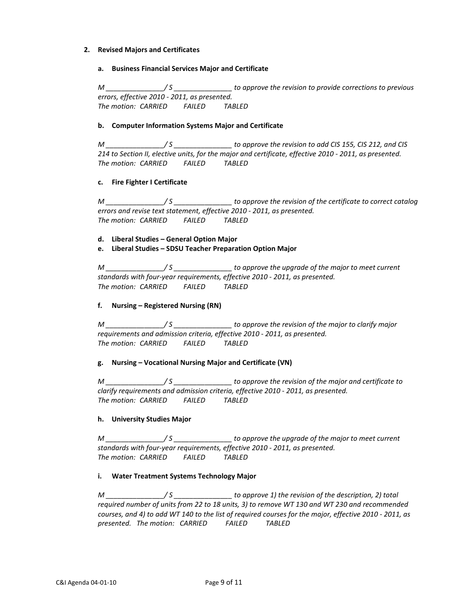# **2. Revised Majors and Certificates**

# **a. Business Financial Services Major and Certificate**

*M \_\_\_\_\_\_\_\_\_\_\_\_\_\_\_/ S \_\_\_\_\_\_\_\_\_\_\_\_\_\_\_ to approve the revision to provide corrections to previous errors, effective 2010 - 2011, as presented. The motion: CARRIED FAILED TABLED* 

# **b. Computer Information Systems Major and Certificate**

*M \_\_\_\_\_\_\_\_\_\_\_\_\_\_\_/ S \_\_\_\_\_\_\_\_\_\_\_\_\_\_\_ to approve the revision to add CIS 155, CIS 212, and CIS 214 to Section II, elective units, for the major and certificate, effective 2010 - 2011, as presented. The motion: CARRIED FAILED TABLED*

# **c. Fire Fighter I Certificate**

*M \_\_\_\_\_\_\_\_\_\_\_\_\_\_\_/ S \_\_\_\_\_\_\_\_\_\_\_\_\_\_\_ to approve the revision of the certificate to correct catalog errors and revise text statement, effective 2010 - 2011, as presented. The motion: CARRIED FAILED TABLED*

**d. Liberal Studies – General Option Major**

**e. Liberal Studies – SDSU Teacher Preparation Option Major** 

*M \_\_\_\_\_\_\_\_\_\_\_\_\_\_\_/ S \_\_\_\_\_\_\_\_\_\_\_\_\_\_\_ to approve the upgrade of the major to meet current standards with four-year requirements, effective 2010 - 2011, as presented. The motion: CARRIED FAILED TABLED*

## **f. Nursing – Registered Nursing (RN)**

*M \_\_\_\_\_\_\_\_\_\_\_\_\_\_\_/ S \_\_\_\_\_\_\_\_\_\_\_\_\_\_\_ to approve the revision of the major to clarify major requirements and admission criteria, effective 2010 - 2011, as presented. The motion: CARRIED FAILED TABLED*

## **g. Nursing – Vocational Nursing Major and Certificate (VN)**

*M \_\_\_\_\_\_\_\_\_\_\_\_\_\_\_/ S \_\_\_\_\_\_\_\_\_\_\_\_\_\_\_ to approve the revision of the major and certificate to clarify requirements and admission criteria, effective 2010 - 2011, as presented. The motion: CARRIED FAILED TABLED*

## **h. University Studies Major**

*M \_\_\_\_\_\_\_\_\_\_\_\_\_\_\_/ S \_\_\_\_\_\_\_\_\_\_\_\_\_\_\_ to approve the upgrade of the major to meet current standards with four-year requirements, effective 2010 - 2011, as presented. The motion: CARRIED FAILED TABLED*

# **i. Water Treatment Systems Technology Major**

*M*  $\frac{1}{5}$  / S  $\frac{1}{5}$  to approve 1) the revision of the description, 2) total *required number of units from 22 to 18 units, 3) to remove WT 130 and WT 230 and recommended courses, and 4) to add WT 140 to the list of required courses for the major, effective 2010 - 2011, as presented. The motion: CARRIED FAILED TABLED*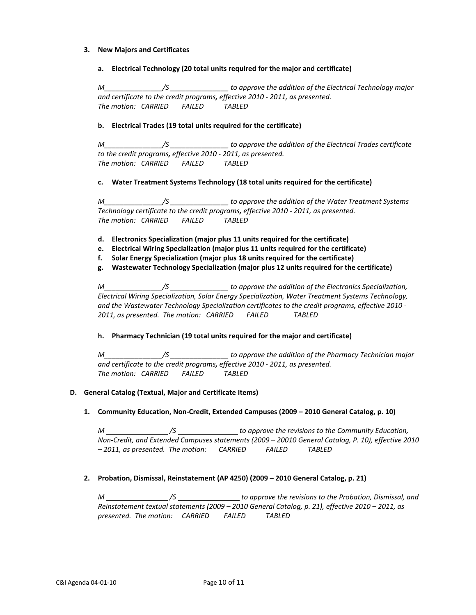# **3. New Majors and Certificates**

**a. Electrical Technology (20 total units required for the major and certificate)**

*M\_\_\_\_\_\_\_\_\_\_\_\_\_\_\_/S \_\_\_\_\_\_\_\_\_\_\_\_\_\_\_ to approve the addition of the Electrical Technology major and certificate to the credit programs, effective 2010 - 2011, as presented. The motion: CARRIED FAILED TABLED*

# **b. Electrical Trades (19 total units required for the certificate)**

*M\_\_\_\_\_\_\_\_\_\_\_\_\_\_\_/S \_\_\_\_\_\_\_\_\_\_\_\_\_\_\_ to approve the addition of the Electrical Trades certificate to the credit programs, effective 2010 - 2011, as presented. The motion: CARRIED FAILED TABLED*

## **c. Water Treatment Systems Technology (18 total units required for the certificate)**

*M\_\_\_\_\_\_\_\_\_\_\_\_\_\_\_/S \_\_\_\_\_\_\_\_\_\_\_\_\_\_\_ to approve the addition of the Water Treatment Systems Technology certificate to the credit programs, effective 2010 - 2011, as presented. The motion: CARRIED FAILED TABLED*

- **d. Electronics Specialization (major plus 11 units required for the certificate)**
- **e. Electrical Wiring Specialization (major plus 11 units required for the certificate)**
- **f. Solar Energy Specialization (major plus 18 units required for the certificate)**
- **g. Wastewater Technology Specialization (major plus 12 units required for the certificate)**

*M\_\_\_\_\_\_\_\_\_\_\_\_\_\_\_/S \_\_\_\_\_\_\_\_\_\_\_\_\_\_\_ to approve the addition of the Electronics Specialization, Electrical Wiring Specialization, Solar Energy Specialization, Water Treatment Systems Technology, and the Wastewater Technology Specialization certificates to the credit programs, effective 2010 - 2011, as presented. The motion: CARRIED FAILED TABLED*

## **h. Pharmacy Technician (19 total units required for the major and certificate)**

*M\_\_\_\_\_\_\_\_\_\_\_\_\_\_\_/S \_\_\_\_\_\_\_\_\_\_\_\_\_\_\_ to approve the addition of the Pharmacy Technician major and certificate to the credit programs, effective 2010 - 2011, as presented. The motion: CARRIED FAILED TABLED*

## **D. General Catalog (Textual, Major and Certificate Items)**

**1. Community Education, Non-Credit, Extended Campuses (2009 – 2010 General Catalog, p. 10)**

*M /S to approve the revisions to the Community Education, Non-Credit, and Extended Campuses statements (2009 – 20010 General Catalog, P. 10), effective 2010 – 2011, as presented. The motion: CARRIED FAILED TABLED*

# **2. Probation, Dismissal, Reinstatement (AP 4250) (2009 – 2010 General Catalog, p. 21)**

*M /S to approve the revisions to the Probation, Dismissal, and Reinstatement textual statements (2009 – 2010 General Catalog, p. 21), effective 2010 – 2011, as presented. The motion: CARRIED FAILED TABLED*